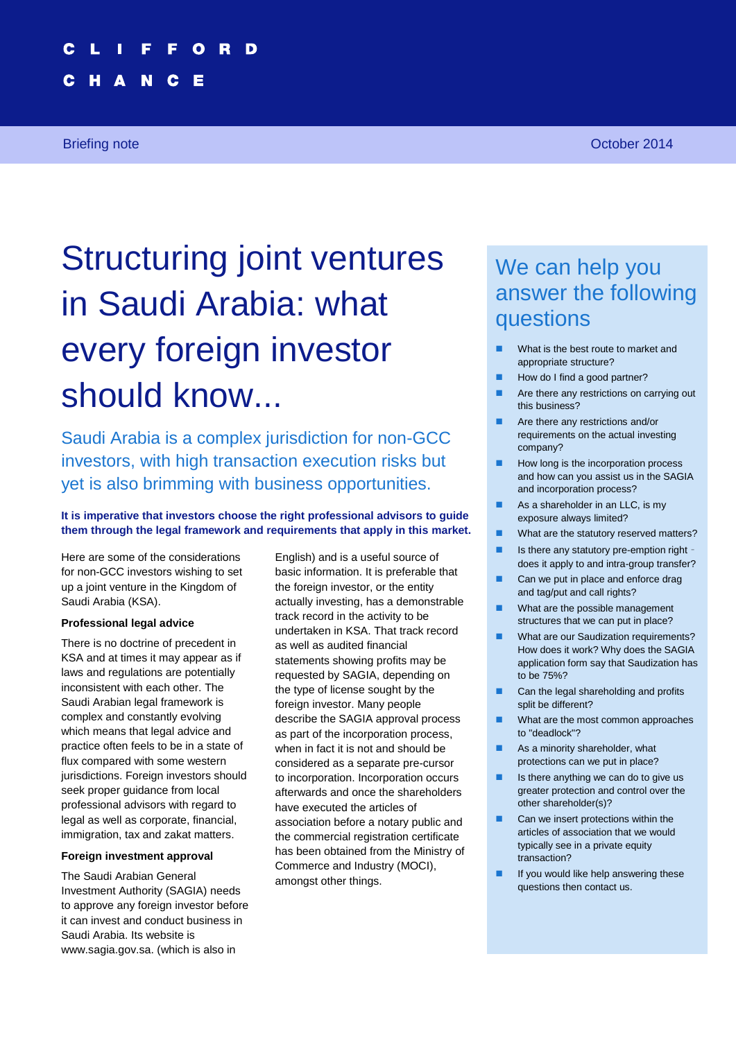# **Structuring joint ventures in Saudi Arabia: what every foreign investor should know... 1**

Е

N c

# Structuring joint ventures in Saudi Arabia: what every foreign investor should know...

Saudi Arabia is a complex jurisdiction for non-GCC investors, with high transaction execution risks but yet is also brimming with business opportunities.

#### **It is imperative that investors choose the right professional advisors to guide them through the legal framework and requirements that apply in this market.**

Here are some of the considerations for non-GCC investors wishing to set up a joint venture in the Kingdom of Saudi Arabia (KSA).

#### **Professional legal advice**

There is no doctrine of precedent in KSA and at times it may appear as if laws and regulations are potentially inconsistent with each other. The Saudi Arabian legal framework is complex and constantly evolving which means that legal advice and practice often feels to be in a state of flux compared with some western jurisdictions. Foreign investors should seek proper guidance from local professional advisors with regard to legal as well as corporate, financial, immigration, tax and zakat matters.

#### **Foreign investment approval**

The Saudi Arabian General Investment Authority (SAGIA) needs to approve any foreign investor before it can invest and conduct business in Saudi Arabia. Its website is www.sagia.gov.sa. (which is also in

English) and is a useful source of basic information. It is preferable that the foreign investor, or the entity actually investing, has a demonstrable track record in the activity to be undertaken in KSA. That track record as well as audited financial statements showing profits may be requested by SAGIA, depending on the type of license sought by the foreign investor. Many people describe the SAGIA approval process as part of the incorporation process, when in fact it is not and should be considered as a separate pre-cursor to incorporation. Incorporation occurs afterwards and once the shareholders have executed the articles of association before a notary public and the commercial registration certificate has been obtained from the Ministry of Commerce and Industry (MOCI), amongst other things.

# We can help you answer the following questions

- What is the best route to market and appropriate structure?
- How do I find a good partner?
- Are there any restrictions on carrying out this business?
- **Are there any restrictions and/or** requirements on the actual investing company?
- How long is the incorporation process and how can you assist us in the SAGIA and incorporation process?
- As a shareholder in an LLC, is my exposure always limited?
- What are the statutory reserved matters?
- $\blacksquare$  Is there any statutory pre-emption right does it apply to and intra-group transfer?
- Can we put in place and enforce drag and tag/put and call rights?
- **No. 3** What are the possible management structures that we can put in place?
- What are our Saudization requirements? How does it work? Why does the SAGIA application form say that Saudization has to be 75%?
- Can the legal shareholding and profits split be different?
- **Now What are the most common approaches** to "deadlock"?
- **As a minority shareholder, what** protections can we put in place?
- $\blacksquare$  Is there anything we can do to give us greater protection and control over the other shareholder(s)?
- Can we insert protections within the articles of association that we would typically see in a private equity transaction?
- $\blacksquare$  If you would like help answering these questions then contact us.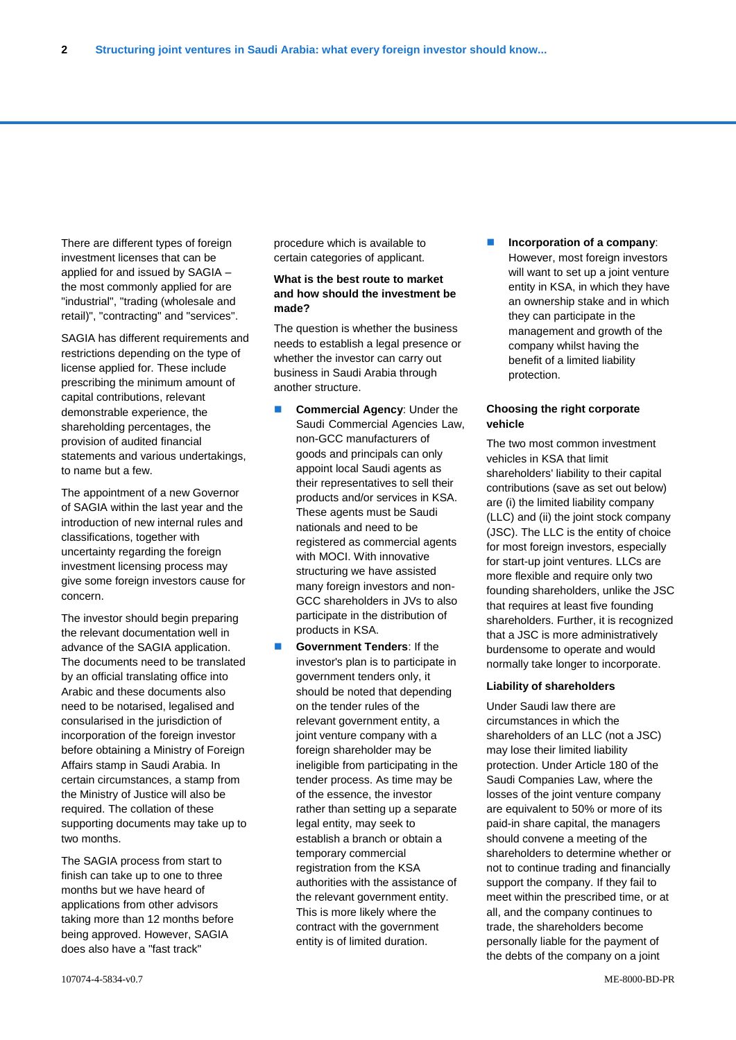There are different types of foreign investment licenses that can be applied for and issued by SAGIA – the most commonly applied for are "industrial", "trading (wholesale and retail)", "contracting" and "services".

SAGIA has different requirements and restrictions depending on the type of license applied for. These include prescribing the minimum amount of capital contributions, relevant demonstrable experience, the shareholding percentages, the provision of audited financial statements and various undertakings, to name but a few.

The appointment of a new Governor of SAGIA within the last year and the introduction of new internal rules and classifications, together with uncertainty regarding the foreign investment licensing process may give some foreign investors cause for concern.

The investor should begin preparing the relevant documentation well in advance of the SAGIA application. The documents need to be translated by an official translating office into Arabic and these documents also need to be notarised, legalised and consularised in the jurisdiction of incorporation of the foreign investor before obtaining a Ministry of Foreign Affairs stamp in Saudi Arabia. In certain circumstances, a stamp from the Ministry of Justice will also be required. The collation of these supporting documents may take up to two months.

The SAGIA process from start to finish can take up to one to three months but we have heard of applications from other advisors taking more than 12 months before being approved. However, SAGIA does also have a "fast track"

procedure which is available to certain categories of applicant.

#### **What is the best route to market and how should the investment be made?**

The question is whether the business needs to establish a legal presence or whether the investor can carry out business in Saudi Arabia through another structure.

- **Commercial Agency: Under the** Saudi Commercial Agencies Law, non-GCC manufacturers of goods and principals can only appoint local Saudi agents as their representatives to sell their products and/or services in KSA. These agents must be Saudi nationals and need to be registered as commercial agents with MOCI. With innovative structuring we have assisted many foreign investors and non-GCC shareholders in JVs to also participate in the distribution of products in KSA.
- **Government Tenders: If the** investor's plan is to participate in government tenders only, it should be noted that depending on the tender rules of the relevant government entity, a joint venture company with a foreign shareholder may be ineligible from participating in the tender process. As time may be of the essence, the investor rather than setting up a separate legal entity, may seek to establish a branch or obtain a temporary commercial registration from the KSA authorities with the assistance of the relevant government entity. This is more likely where the contract with the government entity is of limited duration.

 **Incorporation of a company**: However, most foreign investors will want to set up a joint venture entity in KSA, in which they have an ownership stake and in which they can participate in the management and growth of the company whilst having the benefit of a limited liability protection.

#### **Choosing the right corporate vehicle**

The two most common investment vehicles in KSA that limit shareholders' liability to their capital contributions (save as set out below) are (i) the limited liability company (LLC) and (ii) the joint stock company (JSC). The LLC is the entity of choice for most foreign investors, especially for start-up joint ventures. LLCs are more flexible and require only two founding shareholders, unlike the JSC that requires at least five founding shareholders. Further, it is recognized that a JSC is more administratively burdensome to operate and would normally take longer to incorporate.

#### **Liability of shareholders**

Under Saudi law there are circumstances in which the shareholders of an LLC (not a JSC) may lose their limited liability protection. Under Article 180 of the Saudi Companies Law, where the losses of the joint venture company are equivalent to 50% or more of its paid-in share capital, the managers should convene a meeting of the shareholders to determine whether or not to continue trading and financially support the company. If they fail to meet within the prescribed time, or at all, and the company continues to trade, the shareholders become personally liable for the payment of the debts of the company on a joint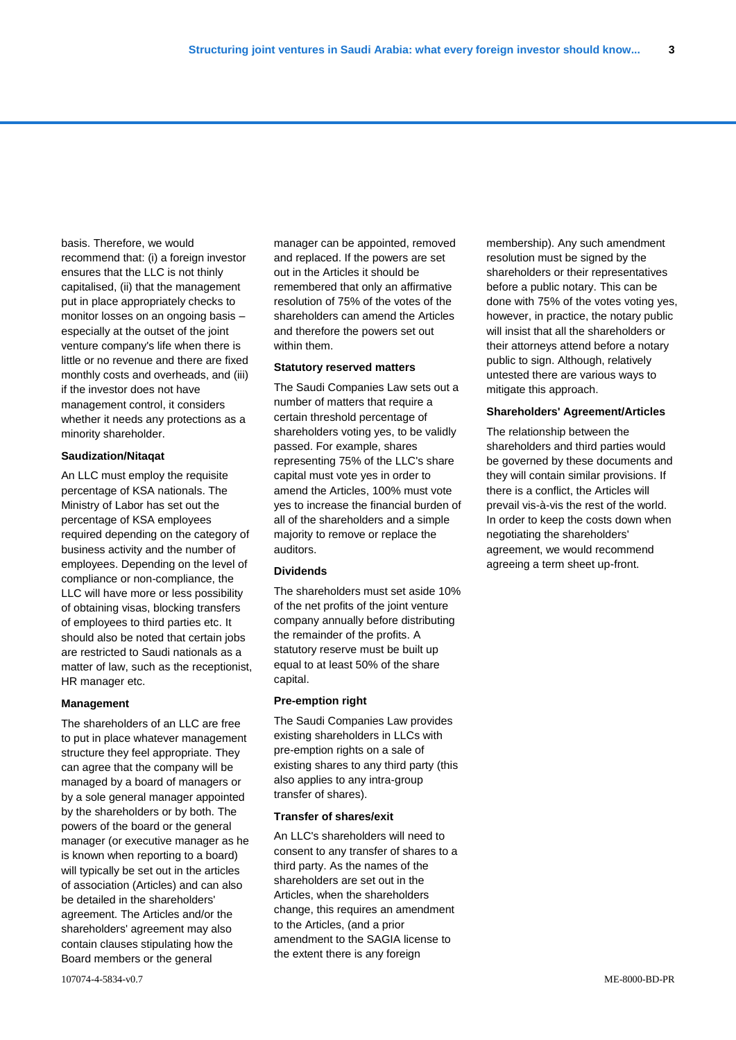basis. Therefore, we would recommend that: (i) a foreign investor ensures that the LLC is not thinly capitalised, (ii) that the management put in place appropriately checks to monitor losses on an ongoing basis – especially at the outset of the joint venture company's life when there is little or no revenue and there are fixed monthly costs and overheads, and (iii) if the investor does not have management control, it considers whether it needs any protections as a minority shareholder.

#### **Saudization/Nitaqat**

An LLC must employ the requisite percentage of KSA nationals. The Ministry of Labor has set out the percentage of KSA employees required depending on the category of business activity and the number of employees. Depending on the level of compliance or non-compliance, the LLC will have more or less possibility of obtaining visas, blocking transfers of employees to third parties etc. It should also be noted that certain jobs are restricted to Saudi nationals as a matter of law, such as the receptionist, HR manager etc.

#### **Management**

The shareholders of an LLC are free to put in place whatever management structure they feel appropriate. They can agree that the company will be managed by a board of managers or by a sole general manager appointed by the shareholders or by both. The powers of the board or the general manager (or executive manager as he is known when reporting to a board) will typically be set out in the articles of association (Articles) and can also be detailed in the shareholders' agreement. The Articles and/or the shareholders' agreement may also contain clauses stipulating how the Board members or the general

manager can be appointed, removed and replaced. If the powers are set out in the Articles it should be remembered that only an affirmative resolution of 75% of the votes of the shareholders can amend the Articles and therefore the powers set out within them.

#### **Statutory reserved matters**

The Saudi Companies Law sets out a number of matters that require a certain threshold percentage of shareholders voting yes, to be validly passed. For example, shares representing 75% of the LLC's share capital must vote yes in order to amend the Articles, 100% must vote yes to increase the financial burden of all of the shareholders and a simple majority to remove or replace the auditors.

#### **Dividends**

The shareholders must set aside 10% of the net profits of the joint venture company annually before distributing the remainder of the profits. A statutory reserve must be built up equal to at least 50% of the share capital.

#### **Pre-emption right**

The Saudi Companies Law provides existing shareholders in LLCs with pre-emption rights on a sale of existing shares to any third party (this also applies to any intra-group transfer of shares).

#### **Transfer of shares/exit**

An LLC's shareholders will need to consent to any transfer of shares to a third party. As the names of the shareholders are set out in the Articles, when the shareholders change, this requires an amendment to the Articles, (and a prior amendment to the SAGIA license to the extent there is any foreign

membership). Any such amendment resolution must be signed by the shareholders or their representatives before a public notary. This can be done with 75% of the votes voting yes, however, in practice, the notary public will insist that all the shareholders or their attorneys attend before a notary public to sign. Although, relatively untested there are various ways to mitigate this approach.

#### **Shareholders' Agreement/Articles**

The relationship between the shareholders and third parties would be governed by these documents and they will contain similar provisions. If there is a conflict, the Articles will prevail vis-à-vis the rest of the world. In order to keep the costs down when negotiating the shareholders' agreement, we would recommend agreeing a term sheet up-front.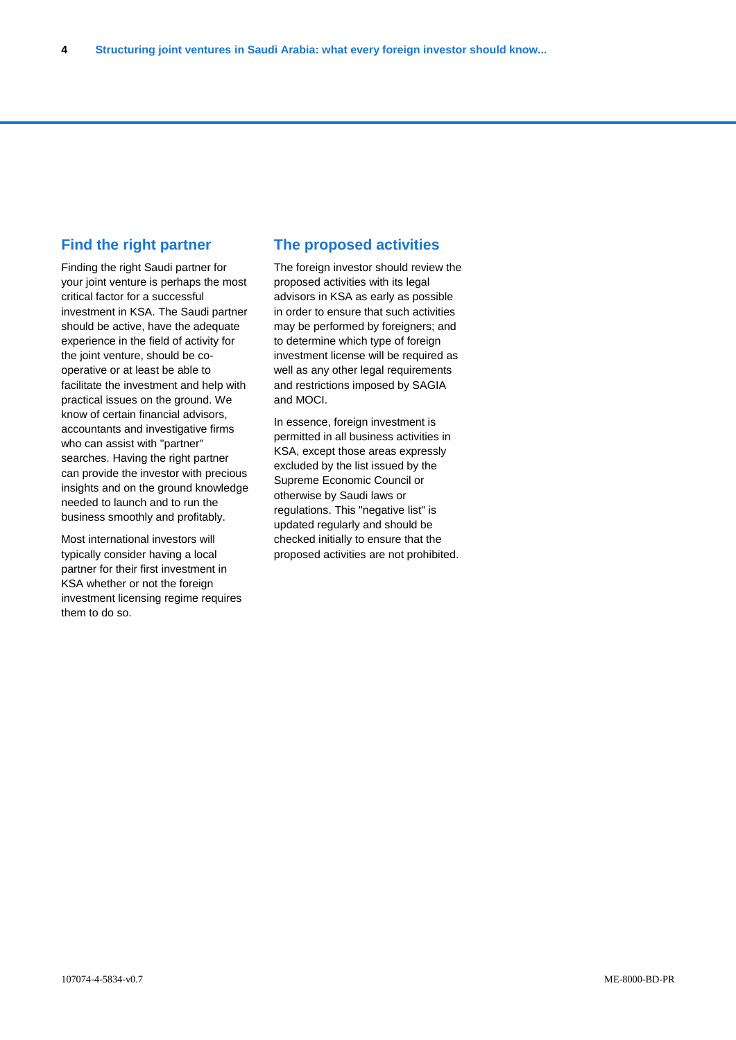## **Find the right partner**

Finding the right Saudi partner for your joint venture is perhaps the most critical factor for a successful investment in KSA. The Saudi partner should be active, have the adequate experience in the field of activity for the joint venture, should be cooperative or at least be able to facilitate the investment and help with practical issues on the ground. We know of certain financial advisors, accountants and investigative firms who can assist with "partner" searches. Having the right partner can provide the investor with precious insights and on the ground knowledge needed to launch and to run the business smoothly and profitably.

Most international investors will typically consider having a local partner for their first investment in KSA whether or not the foreign investment licensing regime requires them to do so.

## **The proposed activities**

The foreign investor should review the proposed activities with its legal advisors in KSA as early as possible in order to ensure that such activities may be performed by foreigners; and to determine which type of foreign investment license will be required as well as any other legal requirements and restrictions imposed by SAGIA and MOCI.

In essence, foreign investment is permitted in all business activities in KSA, except those areas expressly excluded by the list issued by the Supreme Economic Council or otherwise by Saudi laws or regulations. This "negative list" is updated regularly and should be checked initially to ensure that the proposed activities are not prohibited.